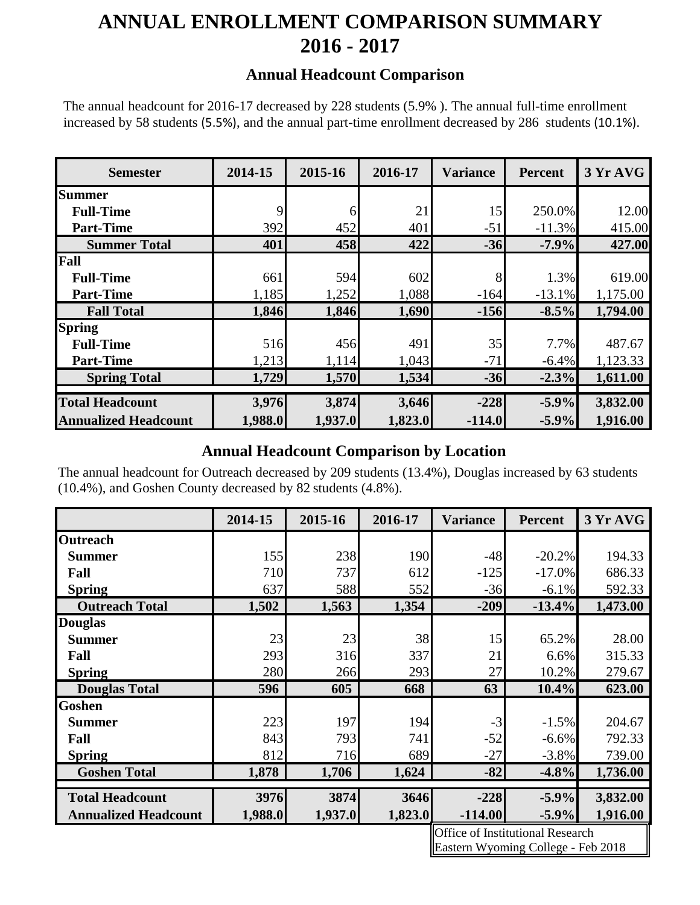# **ANNUAL ENROLLMENT COMPARISON SUMMARY 2016 - 2017**

#### **Annual Headcount Comparison**

The annual headcount for 2016-17 decreased by 228 students (5.9% ). The annual full-time enrollment increased by 58 students (5.5%), and the annual part-time enrollment decreased by 286 students (10.1%).

| <b>Semester</b>             | 2014-15 | 2015-16 | 2016-17 | <b>Variance</b> | <b>Percent</b> | 3 Yr AVG |
|-----------------------------|---------|---------|---------|-----------------|----------------|----------|
| Summer                      |         |         |         |                 |                |          |
| <b>Full-Time</b>            | 9       | 6       | 21      | 15              | 250.0%         | 12.00    |
| <b>Part-Time</b>            | 392     | 452     | 401     | $-51$           | $-11.3%$       | 415.00   |
| <b>Summer Total</b>         | 401     | 458     | 422     | $-36$           | $-7.9\%$       | 427.00   |
| Fall                        |         |         |         |                 |                |          |
| <b>Full-Time</b>            | 661     | 594     | 602     | 8               | 1.3%           | 619.00   |
| <b>Part-Time</b>            | 1,185   | 1,252   | 1,088   | $-164$          | $-13.1%$       | 1,175.00 |
| <b>Fall Total</b>           | 1,846   | 1,846   | 1,690   | $-156$          | $-8.5%$        | 1,794.00 |
| <b>Spring</b>               |         |         |         |                 |                |          |
| <b>Full-Time</b>            | 516     | 456     | 491     | 35              | 7.7%           | 487.67   |
| <b>Part-Time</b>            | 1,213   | 1,114   | 1,043   | $-71$           | $-6.4%$        | 1,123.33 |
| <b>Spring Total</b>         | 1,729   | 1,570   | 1,534   | $-36$           | $-2.3%$        | 1,611.00 |
|                             |         |         |         |                 |                |          |
| <b>Total Headcount</b>      | 3,976   | 3,874   | 3,646   | $-228$          | $-5.9%$        | 3,832.00 |
| <b>Annualized Headcount</b> | 1,988.0 | 1,937.0 | 1,823.0 | $-114.0$        | $-5.9%$        | 1,916.00 |

### **Annual Headcount Comparison by Location**

The annual headcount for Outreach decreased by 209 students (13.4%), Douglas increased by 63 students (10.4%), and Goshen County decreased by 82 students (4.8%).

|                             | 2014-15 | 2015-16 | 2016-17 | <b>Variance</b> | <b>Percent</b> | 3 Yr AVG |
|-----------------------------|---------|---------|---------|-----------------|----------------|----------|
| <b>Outreach</b>             |         |         |         |                 |                |          |
| <b>Summer</b>               | 155     | 238     | 190     | $-48$           | $-20.2%$       | 194.33   |
| Fall                        | 710     | 737     | 612     | $-125$          | $-17.0%$       | 686.33   |
| <b>Spring</b>               | 637     | 588     | 552     | $-36$           | $-6.1\%$       | 592.33   |
| <b>Outreach Total</b>       | 1,502   | 1,563   | 1,354   | $-209$          | $-13.4%$       | 1,473.00 |
| <b>Douglas</b>              |         |         |         |                 |                |          |
| <b>Summer</b>               | 23      | 23      | 38      | 15              | 65.2%          | 28.00    |
| Fall                        | 293     | 316     | 337     | 21              | 6.6%           | 315.33   |
| <b>Spring</b>               | 280     | 266     | 293     | 27              | 10.2%          | 279.67   |
| <b>Douglas Total</b>        | 596     | 605     | 668     | 63              | $10.4\%$       | 623.00   |
| <b>Goshen</b>               |         |         |         |                 |                |          |
| <b>Summer</b>               | 223     | 197     | 194     | $-3$            | $-1.5%$        | 204.67   |
| Fall                        | 843     | 793     | 741     | $-52$           | $-6.6%$        | 792.33   |
| <b>Spring</b>               | 812     | 716     | 689     | $-27$           | $-3.8\%$       | 739.00   |
| <b>Goshen Total</b>         | 1,878   | 1,706   | 1,624   | $-82$           | $-4.8\%$       | 1,736.00 |
| <b>Total Headcount</b>      | 3976    | 3874    | 3646    | $-228$          | $-5.9\%$       | 3,832.00 |
|                             |         |         |         |                 |                |          |
| <b>Annualized Headcount</b> | 1,988.0 | 1,937.0 | 1,823.0 | $-114.00$       | $-5.9\%$       | 1,916.00 |

Office of Institutional Research Eastern Wyoming College - Feb 2018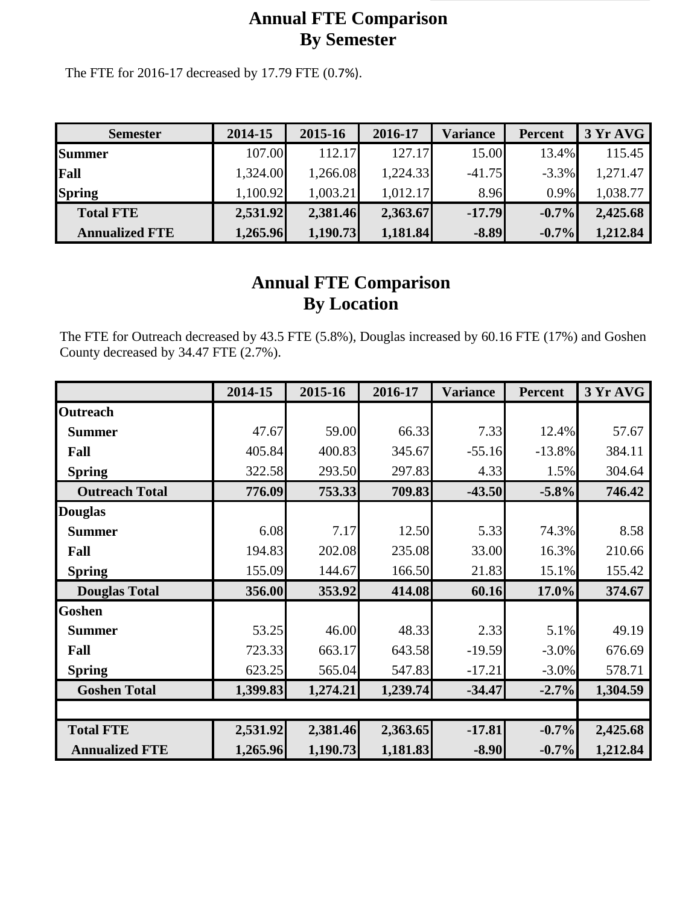## **Annual FTE Comparison By Semester**

The FTE for 2016-17 decreased by 17.79 FTE (0.7%).

| <b>Semester</b>       | 2014-15  | 2015-16  | 2016-17  | Variance | <b>Percent</b> | 3 Yr AVG |
|-----------------------|----------|----------|----------|----------|----------------|----------|
| <b>Summer</b>         | 107.00   | 112.17   | 127.17   | 15.00    | 13.4%          | 115.45   |
| Fall                  | 1,324.00 | 1,266.08 | 1,224.33 | $-41.75$ | $-3.3%$        | 1,271.47 |
| <b>Spring</b>         | 1,100.92 | 1,003.21 | 1,012.17 | 8.96     | $0.9\%$        | 1,038.77 |
| <b>Total FTE</b>      | 2,531.92 | 2,381.46 | 2,363.67 | $-17.79$ | $-0.7%$        | 2,425.68 |
| <b>Annualized FTE</b> | 1,265.96 | 1,190.73 | 1,181.84 | $-8.89$  | $-0.7\%$       | 1,212.84 |

## **Annual FTE Comparison By Location**

The FTE for Outreach decreased by 43.5 FTE (5.8%), Douglas increased by 60.16 FTE (17%) and Goshen County decreased by 34.47 FTE (2.7%).

|                       | 2014-15  | 2015-16  | 2016-17  | <b>Variance</b> | <b>Percent</b> | 3 Yr AVG |
|-----------------------|----------|----------|----------|-----------------|----------------|----------|
| <b>Outreach</b>       |          |          |          |                 |                |          |
| <b>Summer</b>         | 47.67    | 59.00    | 66.33    | 7.33            | 12.4%          | 57.67    |
| Fall                  | 405.84   | 400.83   | 345.67   | $-55.16$        | $-13.8%$       | 384.11   |
| <b>Spring</b>         | 322.58   | 293.50   | 297.83   | 4.33            | 1.5%           | 304.64   |
| <b>Outreach Total</b> | 776.09   | 753.33   | 709.83   | $-43.50$        | $-5.8%$        | 746.42   |
| <b>Douglas</b>        |          |          |          |                 |                |          |
| <b>Summer</b>         | 6.08     | 7.17     | 12.50    | 5.33            | 74.3%          | 8.58     |
| Fall                  | 194.83   | 202.08   | 235.08   | 33.00           | 16.3%          | 210.66   |
| <b>Spring</b>         | 155.09   | 144.67   | 166.50   | 21.83           | 15.1%          | 155.42   |
| <b>Douglas Total</b>  | 356.00   | 353.92   | 414.08   | 60.16           | 17.0%          | 374.67   |
| <b>Goshen</b>         |          |          |          |                 |                |          |
| <b>Summer</b>         | 53.25    | 46.00    | 48.33    | 2.33            | 5.1%           | 49.19    |
| Fall                  | 723.33   | 663.17   | 643.58   | $-19.59$        | $-3.0\%$       | 676.69   |
| <b>Spring</b>         | 623.25   | 565.04   | 547.83   | $-17.21$        | $-3.0\%$       | 578.71   |
| <b>Goshen Total</b>   | 1,399.83 | 1,274.21 | 1,239.74 | $-34.47$        | $-2.7%$        | 1,304.59 |
|                       |          |          |          |                 |                |          |
| <b>Total FTE</b>      | 2,531.92 | 2,381.46 | 2,363.65 | $-17.81$        | $-0.7\%$       | 2,425.68 |
| <b>Annualized FTE</b> | 1,265.96 | 1,190.73 | 1,181.83 | $-8.90$         | $-0.7\%$       | 1,212.84 |